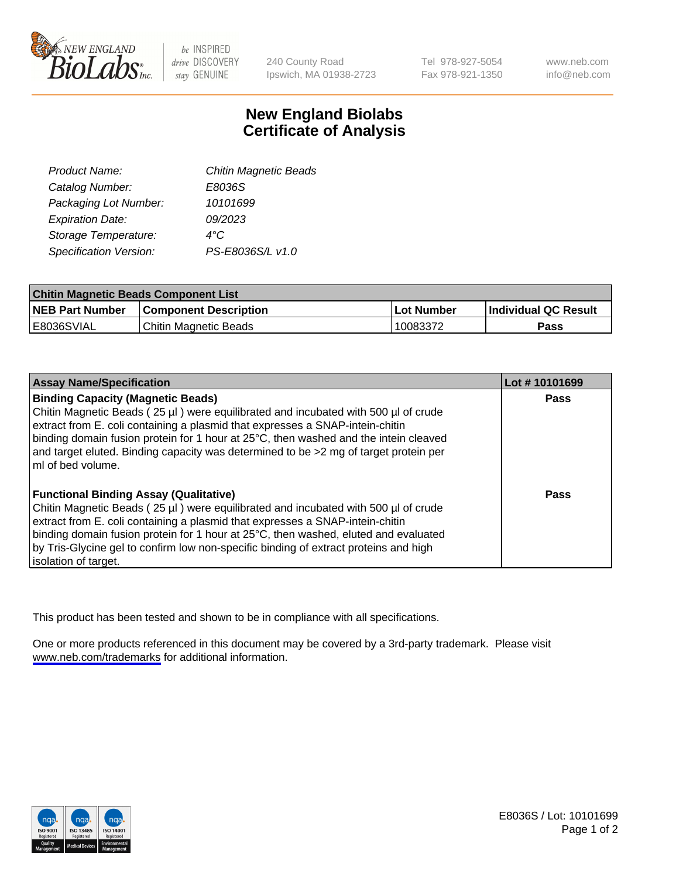

be INSPIRED drive DISCOVERY stay GENUINE

240 County Road Ipswich, MA 01938-2723 Tel 978-927-5054 Fax 978-921-1350

www.neb.com info@neb.com

## **New England Biolabs Certificate of Analysis**

| <b>Chitin Magnetic Beads</b> |
|------------------------------|
| E8036S                       |
| 10101699                     |
| 09/2023                      |
| 4°C                          |
| PS-E8036S/L v1.0             |
|                              |

| <b>Chitin Magnetic Beads Component List</b> |                              |            |                      |  |
|---------------------------------------------|------------------------------|------------|----------------------|--|
| <b>NEB Part Number</b>                      | <b>Component Description</b> | Lot Number | Individual QC Result |  |
| E8036SVIAL                                  | Chitin Magnetic Beads        | 10083372   | Pass                 |  |

| <b>Assay Name/Specification</b>                                                                                                                                                                                                                                                                                                                                                                                            | Lot #10101699 |
|----------------------------------------------------------------------------------------------------------------------------------------------------------------------------------------------------------------------------------------------------------------------------------------------------------------------------------------------------------------------------------------------------------------------------|---------------|
| <b>Binding Capacity (Magnetic Beads)</b><br>Chitin Magnetic Beads (25 µl) were equilibrated and incubated with 500 µl of crude<br>extract from E. coli containing a plasmid that expresses a SNAP-intein-chitin<br>binding domain fusion protein for 1 hour at 25°C, then washed and the intein cleaved<br>and target eluted. Binding capacity was determined to be >2 mg of target protein per<br>ImI of bed volume.      | Pass          |
| <b>Functional Binding Assay (Qualitative)</b><br>Chitin Magnetic Beads (25 µl) were equilibrated and incubated with 500 µl of crude<br>extract from E. coli containing a plasmid that expresses a SNAP-intein-chitin<br>binding domain fusion protein for 1 hour at 25°C, then washed, eluted and evaluated<br>by Tris-Glycine gel to confirm low non-specific binding of extract proteins and high<br>solation of target. | Pass          |

This product has been tested and shown to be in compliance with all specifications.

One or more products referenced in this document may be covered by a 3rd-party trademark. Please visit <www.neb.com/trademarks>for additional information.